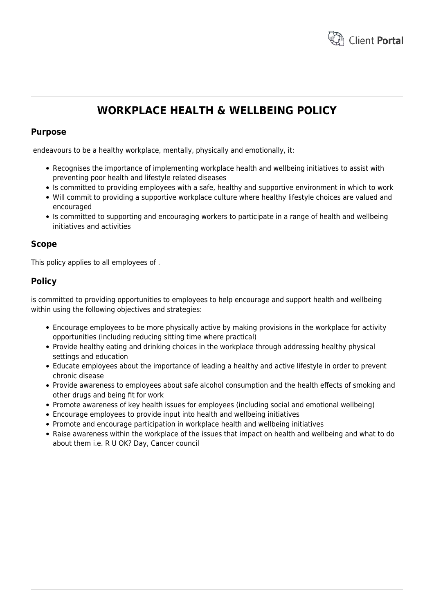

# **WORKPLACE HEALTH & WELLBEING POLICY**

## **Purpose**

endeavours to be a healthy workplace, mentally, physically and emotionally, it:

- Recognises the importance of implementing workplace health and wellbeing initiatives to assist with preventing poor health and lifestyle related diseases
- Is committed to providing employees with a safe, healthy and supportive environment in which to work
- Will commit to providing a supportive workplace culture where healthy lifestyle choices are valued and encouraged
- Is committed to supporting and encouraging workers to participate in a range of health and wellbeing initiatives and activities

## **Scope**

This policy applies to all employees of .

# **Policy**

is committed to providing opportunities to employees to help encourage and support health and wellbeing within using the following objectives and strategies:

- Encourage employees to be more physically active by making provisions in the workplace for activity opportunities (including reducing sitting time where practical)
- Provide healthy eating and drinking choices in the workplace through addressing healthy physical settings and education
- Educate employees about the importance of leading a healthy and active lifestyle in order to prevent chronic disease
- Provide awareness to employees about safe alcohol consumption and the health effects of smoking and other drugs and being fit for work
- Promote awareness of key health issues for employees (including social and emotional wellbeing)
- Encourage employees to provide input into health and wellbeing initiatives
- Promote and encourage participation in workplace health and wellbeing initiatives
- Raise awareness within the workplace of the issues that impact on health and wellbeing and what to do about them i.e. R U OK? Day, Cancer council